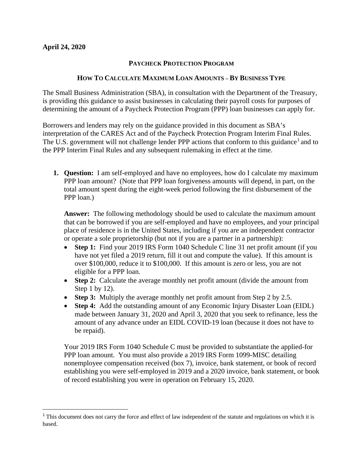$\overline{\phantom{a}}$ 

## **PAYCHECK PROTECTION PROGRAM**

## **HOW TO CALCULATE MAXIMUM LOAN AMOUNTS – BY BUSINESS TYPE**

The Small Business Administration (SBA), in consultation with the Department of the Treasury, is providing this guidance to assist businesses in calculating their payroll costs for purposes of determining the amount of a Paycheck Protection Program (PPP) loan businesses can apply for.

Borrowers and lenders may rely on the guidance provided in this document as SBA's interpretation of the CARES Act and of the Paycheck Protection Program Interim Final Rules. The U.S. government will not challenge lender PPP actions that conform to this guidance<sup>[1](#page-0-0)</sup> and to the PPP Interim Final Rules and any subsequent rulemaking in effect at the time.

**1. Question:** I am self-employed and have no employees, how do I calculate my maximum PPP loan amount? (Note that PPP loan forgiveness amounts will depend, in part, on the total amount spent during the eight-week period following the first disbursement of the PPP loan.)

**Answer:** The following methodology should be used to calculate the maximum amount that can be borrowed if you are self-employed and have no employees, and your principal place of residence is in the United States, including if you are an independent contractor or operate a sole proprietorship (but not if you are a partner in a partnership):

- **Step 1:** Find your 2019 IRS Form 1040 Schedule C line 31 net profit amount (if you have not yet filed a 2019 return, fill it out and compute the value). If this amount is over \$100,000, reduce it to \$100,000. If this amount is zero or less, you are not eligible for a PPP loan.
- **Step 2:** Calculate the average monthly net profit amount (divide the amount from Step 1 by 12).
- **Step 3:** Multiply the average monthly net profit amount from Step 2 by 2.5.
- **Step 4:** Add the outstanding amount of any Economic Injury Disaster Loan (EIDL) made between January 31, 2020 and April 3, 2020 that you seek to refinance, less the amount of any advance under an EIDL COVID-19 loan (because it does not have to be repaid).

Your 2019 IRS Form 1040 Schedule C must be provided to substantiate the applied-for PPP loan amount. You must also provide a 2019 IRS Form 1099-MISC detailing nonemployee compensation received (box 7), invoice, bank statement, or book of record establishing you were self-employed in 2019 and a 2020 invoice, bank statement, or book of record establishing you were in operation on February 15, 2020.

<span id="page-0-0"></span><sup>&</sup>lt;sup>1</sup> This document does not carry the force and effect of law independent of the statute and regulations on which it is based.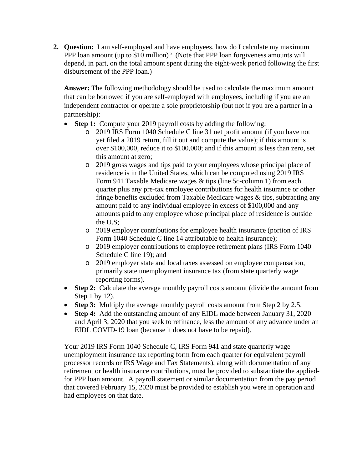**2. Question:** I am self-employed and have employees, how do I calculate my maximum PPP loan amount (up to \$10 million)? (Note that PPP loan forgiveness amounts will depend, in part, on the total amount spent during the eight-week period following the first disbursement of the PPP loan.)

**Answer:** The following methodology should be used to calculate the maximum amount that can be borrowed if you are self-employed with employees, including if you are an independent contractor or operate a sole proprietorship (but not if you are a partner in a partnership):

- **Step 1:** Compute your 2019 payroll costs by adding the following:
	- o 2019 IRS Form 1040 Schedule C line 31 net profit amount (if you have not yet filed a 2019 return, fill it out and compute the value); if this amount is over \$100,000, reduce it to \$100,000; and if this amount is less than zero, set this amount at zero;
	- o 2019 gross wages and tips paid to your employees whose principal place of residence is in the United States, which can be computed using 2019 IRS Form 941 Taxable Medicare wages & tips (line 5c-column 1) from each quarter plus any pre-tax employee contributions for health insurance or other fringe benefits excluded from Taxable Medicare wages & tips, subtracting any amount paid to any individual employee in excess of \$100,000 and any amounts paid to any employee whose principal place of residence is outside the U.S;
	- o 2019 employer contributions for employee health insurance (portion of IRS Form 1040 Schedule C line 14 attributable to health insurance):
	- o 2019 employer contributions to employee retirement plans (IRS Form 1040 Schedule C line 19); and
	- o 2019 employer state and local taxes assessed on employee compensation, primarily state unemployment insurance tax (from state quarterly wage reporting forms).
- **Step 2:** Calculate the average monthly payroll costs amount (divide the amount from Step 1 by 12).
- **Step 3:** Multiply the average monthly payroll costs amount from Step 2 by 2.5.
- **Step 4:** Add the outstanding amount of any EIDL made between January 31, 2020 and April 3, 2020 that you seek to refinance, less the amount of any advance under an EIDL COVID-19 loan (because it does not have to be repaid).

Your 2019 IRS Form 1040 Schedule C, IRS Form 941 and state quarterly wage unemployment insurance tax reporting form from each quarter (or equivalent payroll processor records or IRS Wage and Tax Statements), along with documentation of any retirement or health insurance contributions, must be provided to substantiate the appliedfor PPP loan amount. A payroll statement or similar documentation from the pay period that covered February 15, 2020 must be provided to establish you were in operation and had employees on that date.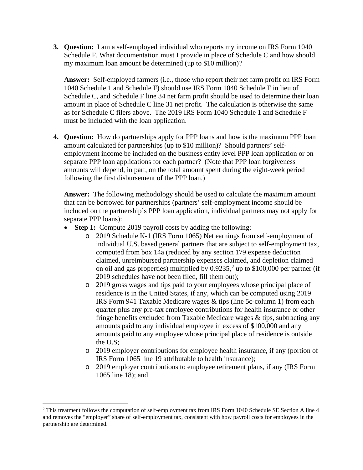**3. Question:** I am a self-employed individual who reports my income on IRS Form 1040 Schedule F. What documentation must I provide in place of Schedule C and how should my maximum loan amount be determined (up to \$10 million)?

**Answer:** Self-employed farmers (i.e., those who report their net farm profit on IRS Form 1040 Schedule 1 and Schedule F) should use IRS Form 1040 Schedule F in lieu of Schedule C, and Schedule F line 34 net farm profit should be used to determine their loan amount in place of Schedule C line 31 net profit. The calculation is otherwise the same as for Schedule C filers above. The 2019 IRS Form 1040 Schedule 1 and Schedule F must be included with the loan application.

**4. Question:** How do partnerships apply for PPP loans and how is the maximum PPP loan amount calculated for partnerships (up to \$10 million)? Should partners' selfemployment income be included on the business entity level PPP loan application or on separate PPP loan applications for each partner? (Note that PPP loan forgiveness amounts will depend, in part, on the total amount spent during the eight-week period following the first disbursement of the PPP loan.)

**Answer:** The following methodology should be used to calculate the maximum amount that can be borrowed for partnerships (partners' self-employment income should be included on the partnership's PPP loan application, individual partners may not apply for separate PPP loans):

- **Step 1:** Compute 2019 payroll costs by adding the following:
	- o 2019 Schedule K-1 (IRS Form 1065) Net earnings from self-employment of individual U.S. based general partners that are subject to self-employment tax, computed from box 14a (reduced by any section 179 expense deduction claimed, unreimbursed partnership expenses claimed, and depletion claimed on oil and gas properties) multiplied by  $0.9235$  $0.9235$  $0.9235$ ,<sup>2</sup> up to \$100,000 per partner (if 2019 schedules have not been filed, fill them out);
	- o 2019 gross wages and tips paid to your employees whose principal place of residence is in the United States, if any, which can be computed using 2019 IRS Form 941 Taxable Medicare wages & tips (line 5c-column 1) from each quarter plus any pre-tax employee contributions for health insurance or other fringe benefits excluded from Taxable Medicare wages & tips, subtracting any amounts paid to any individual employee in excess of \$100,000 and any amounts paid to any employee whose principal place of residence is outside the U.S;
	- o 2019 employer contributions for employee health insurance, if any (portion of IRS Form 1065 line 19 attributable to health insurance);
	- o 2019 employer contributions to employee retirement plans, if any (IRS Form 1065 line 18); and

 $\overline{a}$ 

<span id="page-2-0"></span><sup>&</sup>lt;sup>2</sup> This treatment follows the computation of self-employment tax from IRS Form 1040 Schedule SE Section A line 4 and removes the "employer" share of self-employment tax, consistent with how payroll costs for employees in the partnership are determined.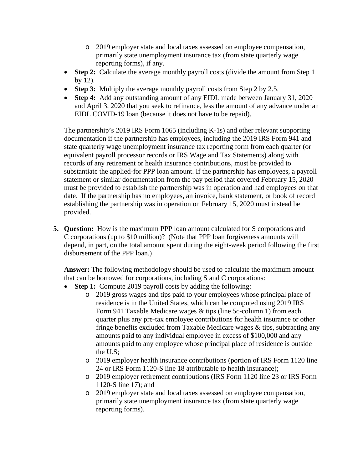- o 2019 employer state and local taxes assessed on employee compensation, primarily state unemployment insurance tax (from state quarterly wage reporting forms), if any.
- **Step 2:** Calculate the average monthly payroll costs (divide the amount from Step 1) by 12).
- **Step 3:** Multiply the average monthly payroll costs from Step 2 by 2.5.
- **Step 4:** Add any outstanding amount of any EIDL made between January 31, 2020 and April 3, 2020 that you seek to refinance, less the amount of any advance under an EIDL COVID-19 loan (because it does not have to be repaid).

The partnership's 2019 IRS Form 1065 (including K-1s) and other relevant supporting documentation if the partnership has employees, including the 2019 IRS Form 941 and state quarterly wage unemployment insurance tax reporting form from each quarter (or equivalent payroll processor records or IRS Wage and Tax Statements) along with records of any retirement or health insurance contributions, must be provided to substantiate the applied-for PPP loan amount. If the partnership has employees, a payroll statement or similar documentation from the pay period that covered February 15, 2020 must be provided to establish the partnership was in operation and had employees on that date. If the partnership has no employees, an invoice, bank statement, or book of record establishing the partnership was in operation on February 15, 2020 must instead be provided.

**5. Question:** How is the maximum PPP loan amount calculated for S corporations and C corporations (up to \$10 million)? (Note that PPP loan forgiveness amounts will depend, in part, on the total amount spent during the eight-week period following the first disbursement of the PPP loan.)

**Answer:** The following methodology should be used to calculate the maximum amount that can be borrowed for corporations, including S and C corporations:

- **Step 1:** Compute 2019 payroll costs by adding the following:
	- o 2019 gross wages and tips paid to your employees whose principal place of residence is in the United States, which can be computed using 2019 IRS Form 941 Taxable Medicare wages & tips (line 5c-column 1) from each quarter plus any pre-tax employee contributions for health insurance or other fringe benefits excluded from Taxable Medicare wages & tips, subtracting any amounts paid to any individual employee in excess of \$100,000 and any amounts paid to any employee whose principal place of residence is outside the U.S;
	- o 2019 employer health insurance contributions (portion of IRS Form 1120 line 24 or IRS Form 1120-S line 18 attributable to health insurance);
	- o 2019 employer retirement contributions (IRS Form 1120 line 23 or IRS Form 1120-S line 17); and
	- o 2019 employer state and local taxes assessed on employee compensation, primarily state unemployment insurance tax (from state quarterly wage reporting forms).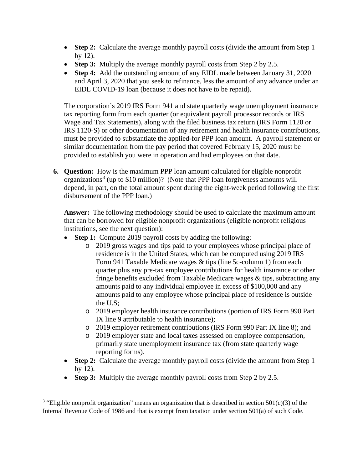- **Step 2:** Calculate the average monthly payroll costs (divide the amount from Step 1) by 12).
- **Step 3:** Multiply the average monthly payroll costs from Step 2 by 2.5.
- **Step 4:** Add the outstanding amount of any EIDL made between January 31, 2020 and April 3, 2020 that you seek to refinance, less the amount of any advance under an EIDL COVID-19 loan (because it does not have to be repaid).

The corporation's 2019 IRS Form 941 and state quarterly wage unemployment insurance tax reporting form from each quarter (or equivalent payroll processor records or IRS Wage and Tax Statements), along with the filed business tax return (IRS Form 1120 or IRS 1120-S) or other documentation of any retirement and health insurance contributions, must be provided to substantiate the applied-for PPP loan amount. A payroll statement or similar documentation from the pay period that covered February 15, 2020 must be provided to establish you were in operation and had employees on that date.

**6. Question:** How is the maximum PPP loan amount calculated for eligible nonprofit organizations<sup>[3](#page-4-0)</sup> (up to \$10 million)? (Note that PPP loan forgiveness amounts will depend, in part, on the total amount spent during the eight-week period following the first disbursement of the PPP loan.)

**Answer:** The following methodology should be used to calculate the maximum amount that can be borrowed for eligible nonprofit organizations (eligible nonprofit religious institutions, see the next question):

- **Step 1:** Compute 2019 payroll costs by adding the following:
	- o 2019 gross wages and tips paid to your employees whose principal place of residence is in the United States, which can be computed using 2019 IRS Form 941 Taxable Medicare wages & tips (line 5c-column 1) from each quarter plus any pre-tax employee contributions for health insurance or other fringe benefits excluded from Taxable Medicare wages & tips, subtracting any amounts paid to any individual employee in excess of \$100,000 and any amounts paid to any employee whose principal place of residence is outside the U.S;
	- o 2019 employer health insurance contributions (portion of IRS Form 990 Part IX line 9 attributable to health insurance);
	- o 2019 employer retirement contributions (IRS Form 990 Part IX line 8); and
	- o 2019 employer state and local taxes assessed on employee compensation, primarily state unemployment insurance tax (from state quarterly wage reporting forms).
- **Step 2:** Calculate the average monthly payroll costs (divide the amount from Step 1 by 12).
- **Step 3:** Multiply the average monthly payroll costs from Step 2 by 2.5.

l

<span id="page-4-0"></span><sup>&</sup>lt;sup>3</sup> "Eligible nonprofit organization" means an organization that is described in section 501(c)(3) of the Internal Revenue Code of 1986 and that is exempt from taxation under section 501(a) of such Code.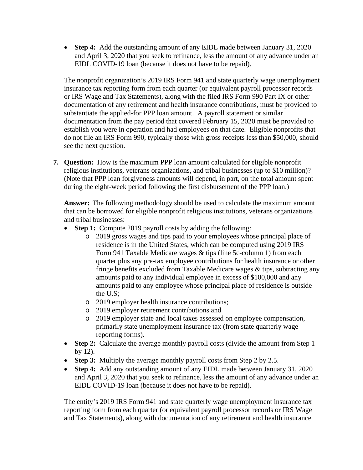• **Step 4:** Add the outstanding amount of any EIDL made between January 31, 2020 and April 3, 2020 that you seek to refinance, less the amount of any advance under an EIDL COVID-19 loan (because it does not have to be repaid).

The nonprofit organization's 2019 IRS Form 941 and state quarterly wage unemployment insurance tax reporting form from each quarter (or equivalent payroll processor records or IRS Wage and Tax Statements), along with the filed IRS Form 990 Part IX or other documentation of any retirement and health insurance contributions, must be provided to substantiate the applied-for PPP loan amount. A payroll statement or similar documentation from the pay period that covered February 15, 2020 must be provided to establish you were in operation and had employees on that date. Eligible nonprofits that do not file an IRS Form 990, typically those with gross receipts less than \$50,000, should see the next question.

**7. Question:** How is the maximum PPP loan amount calculated for eligible nonprofit religious institutions, veterans organizations, and tribal businesses (up to \$10 million)? (Note that PPP loan forgiveness amounts will depend, in part, on the total amount spent during the eight-week period following the first disbursement of the PPP loan.)

**Answer:** The following methodology should be used to calculate the maximum amount that can be borrowed for eligible nonprofit religious institutions, veterans organizations and tribal businesses:

- **Step 1:** Compute 2019 payroll costs by adding the following:
	- o 2019 gross wages and tips paid to your employees whose principal place of residence is in the United States, which can be computed using 2019 IRS Form 941 Taxable Medicare wages & tips (line 5c-column 1) from each quarter plus any pre-tax employee contributions for health insurance or other fringe benefits excluded from Taxable Medicare wages & tips, subtracting any amounts paid to any individual employee in excess of \$100,000 and any amounts paid to any employee whose principal place of residence is outside the U.S;
	- o 2019 employer health insurance contributions;
	- o 2019 employer retirement contributions and
	- o 2019 employer state and local taxes assessed on employee compensation, primarily state unemployment insurance tax (from state quarterly wage reporting forms).
- **Step 2:** Calculate the average monthly payroll costs (divide the amount from Step 1) by 12).
- **Step 3:** Multiply the average monthly payroll costs from Step 2 by 2.5.
- **Step 4:** Add any outstanding amount of any EIDL made between January 31, 2020 and April 3, 2020 that you seek to refinance, less the amount of any advance under an EIDL COVID-19 loan (because it does not have to be repaid).

The entity's 2019 IRS Form 941 and state quarterly wage unemployment insurance tax reporting form from each quarter (or equivalent payroll processor records or IRS Wage and Tax Statements), along with documentation of any retirement and health insurance